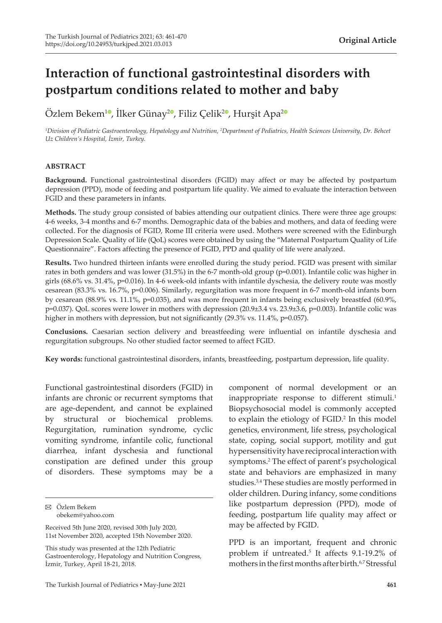# **Interaction of functional gastrointestinal disorders with postpartum conditions related to mother and baby**

Özlem Bekem<sup>10</sup>[,](https://orcid.org/0000-0002-0264-2395) İlker Günay<sup>[2](https://orcid.org/0000-0002-0601-4679)0</sup>, Filiz Çelik<sup>20</sup>, Hurşit Apa<sup>20</sup>

*1 Division of Pediatric Gastroenterology, Hepatology and Nutrition, <sup>2</sup> Department of Pediatrics, Health Sciences University, Dr. Behcet Uz Children's Hospital, İzmir, Turkey.*

## **ABSTRACT**

**Background.** Functional gastrointestinal disorders (FGID) may affect or may be affected by postpartum depression (PPD), mode of feeding and postpartum life quality. We aimed to evaluate the interaction between FGID and these parameters in infants.

**Methods.** The study group consisted of babies attending our outpatient clinics. There were three age groups: 4-6 weeks, 3-4 months and 6-7 months. Demographic data of the babies and mothers, and data of feeding were collected. For the diagnosis of FGID, Rome III criteria were used. Mothers were screened with the Edinburgh Depression Scale. Quality of life (QoL) scores were obtained by using the "Maternal Postpartum Quality of Life Questionnaire". Factors affecting the presence of FGID, PPD and quality of life were analyzed.

**Results.** Two hundred thirteen infants were enrolled during the study period. FGID was present with similar rates in both genders and was lower (31.5%) in the 6-7 month-old group (p=0.001). Infantile colic was higher in girls (68.6% vs. 31.4%, p=0.016). In 4-6 week-old infants with infantile dyschesia, the delivery route was mostly cesarean (83.3% vs. 16.7%, p=0.006). Similarly, regurgitation was more frequent in 6-7 month-old infants born by cesarean (88.9% vs. 11.1%, p=0.035), and was more frequent in infants being exclusively breastfed (60.9%, p=0.037). QoL scores were lower in mothers with depression (20.9±3.4 vs. 23.9±3.6, p=0.003). Infantile colic was higher in mothers with depression, but not significantly (29.3% vs. 11.4%, p=0.057).

**Conclusions.** Caesarian section delivery and breastfeeding were influential on infantile dyschesia and regurgitation subgroups. No other studied factor seemed to affect FGID.

**Key words:** functional gastrointestinal disorders, infants, breastfeeding, postpartum depression, life quality.

Functional gastrointestinal disorders (FGID) in infants are chronic or recurrent symptoms that are age-dependent, and cannot be explained by structural or biochemical problems. Regurgitation, rumination syndrome, cyclic vomiting syndrome, infantile colic, functional diarrhea, infant dyschesia and functional constipation are defined under this group of disorders. These symptoms may be a

This study was presented at the 12th Pediatric Gastroenterology, Hepatology and Nutrition Congress, İzmir, Turkey, April 18-21, 2018.

component of normal development or an inappropriate response to different stimuli.<sup>1</sup> Biopsychosocial model is commonly accepted to explain the etiology of FGID.<sup>2</sup> In this model genetics, environment, life stress, psychological state, coping, social support, motility and gut hypersensitivity have reciprocal interaction with symptoms.<sup>2</sup> The effect of parent's psychological state and behaviors are emphasized in many studies.3,4 These studies are mostly performed in older children. During infancy, some conditions like postpartum depression (PPD), mode of feeding, postpartum life quality may affect or may be affected by FGID.

PPD is an important, frequent and chronic problem if untreated.<sup>5</sup> It affects 9.1-19.2% of mothers in the first months after birth.<sup>6,7</sup> Stressful

Özlem Bekem obekem@yahoo.com

Received 5th June 2020, revised 30th July 2020, 11st November 2020, accepted 15th November 2020.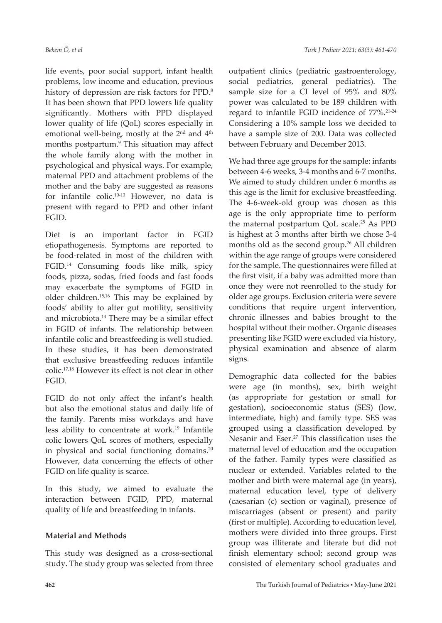life events, poor social support, infant health problems, low income and education, previous history of depression are risk factors for PPD.<sup>8</sup> It has been shown that PPD lowers life quality significantly. Mothers with PPD displayed lower quality of life (QoL) scores especially in emotional well-being, mostly at the 2<sup>nd</sup> and 4<sup>th</sup> months postpartum.<sup>9</sup> This situation may affect the whole family along with the mother in psychological and physical ways. For example, maternal PPD and attachment problems of the mother and the baby are suggested as reasons for infantile colic.10-13 However, no data is present with regard to PPD and other infant FGID.

Diet is an important factor in FGID etiopathogenesis. Symptoms are reported to be food-related in most of the children with FGID.14 Consuming foods like milk, spicy foods, pizza, sodas, fried foods and fast foods may exacerbate the symptoms of FGID in older children.15,16 This may be explained by foods' ability to alter gut motility, sensitivity and microbiota.14 There may be a similar effect in FGID of infants. The relationship between infantile colic and breastfeeding is well studied. In these studies, it has been demonstrated that exclusive breastfeeding reduces infantile colic.17,18 However its effect is not clear in other FGID.

FGID do not only affect the infant's health but also the emotional status and daily life of the family. Parents miss workdays and have less ability to concentrate at work.<sup>19</sup> Infantile colic lowers QoL scores of mothers, especially in physical and social functioning domains.<sup>20</sup> However, data concerning the effects of other FGID on life quality is scarce.

In this study, we aimed to evaluate the interaction between FGID, PPD, maternal quality of life and breastfeeding in infants.

# **Material and Methods**

This study was designed as a cross-sectional study. The study group was selected from three

outpatient clinics (pediatric gastroenterology, social pediatrics, general pediatrics). The sample size for a CI level of 95% and 80% power was calculated to be 189 children with regard to infantile FGID incidence of 77%.21-24 Considering a 10% sample loss we decided to have a sample size of 200. Data was collected between February and December 2013.

We had three age groups for the sample: infants between 4-6 weeks, 3-4 months and 6-7 months. We aimed to study children under 6 months as this age is the limit for exclusive breastfeeding. The 4-6-week-old group was chosen as this age is the only appropriate time to perform the maternal postpartum QoL scale.25 As PPD is highest at 3 months after birth we chose 3-4 months old as the second group.26 All children within the age range of groups were considered for the sample. The questionnaires were filled at the first visit, if a baby was admitted more than once they were not reenrolled to the study for older age groups. Exclusion criteria were severe conditions that require urgent intervention, chronic illnesses and babies brought to the hospital without their mother. Organic diseases presenting like FGID were excluded via history, physical examination and absence of alarm signs.

Demographic data collected for the babies were age (in months), sex, birth weight (as appropriate for gestation or small for gestation), socioeconomic status (SES) (low, intermediate, high) and family type. SES was grouped using a classification developed by Nesanir and Eser.<sup>27</sup> This classification uses the maternal level of education and the occupation of the father. Family types were classified as nuclear or extended. Variables related to the mother and birth were maternal age (in years), maternal education level, type of delivery (caesarian (c) section or vaginal), presence of miscarriages (absent or present) and parity (first or multiple). According to education level, mothers were divided into three groups. First group was illiterate and literate but did not finish elementary school; second group was consisted of elementary school graduates and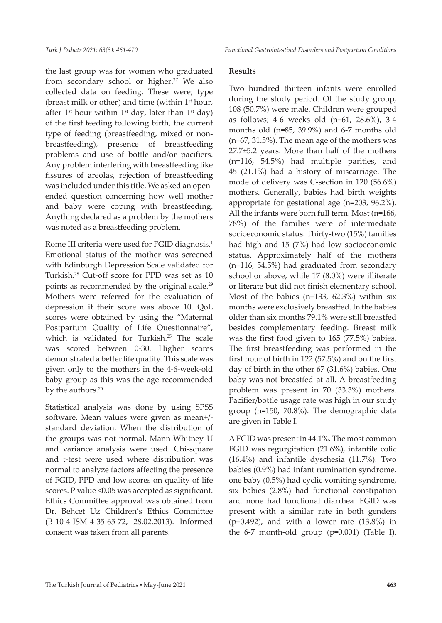the last group was for women who graduated from secondary school or higher.<sup>27</sup> We also collected data on feeding. These were; type (breast milk or other) and time (within 1st hour, after 1<sup>st</sup> hour within 1<sup>st</sup> day, later than 1<sup>st</sup> day) of the first feeding following birth, the current type of feeding (breastfeeding, mixed or nonbreastfeeding), presence of breastfeeding problems and use of bottle and/or pacifiers. Any problem interfering with breastfeeding like fissures of areolas, rejection of breastfeeding was included under this title. We asked an openended question concerning how well mother and baby were coping with breastfeeding. Anything declared as a problem by the mothers was noted as a breastfeeding problem.

Rome III criteria were used for FGID diagnosis.<sup>1</sup> Emotional status of the mother was screened with Edinburgh Depression Scale validated for Turkish.28 Cut-off score for PPD was set as 10 points as recommended by the original scale.<sup>29</sup> Mothers were referred for the evaluation of depression if their score was above 10. QoL scores were obtained by using the "Maternal Postpartum Quality of Life Questionnaire", which is validated for Turkish.<sup>25</sup> The scale was scored between 0-30. Higher scores demonstrated a better life quality. This scale was given only to the mothers in the 4-6-week-old baby group as this was the age recommended by the authors.<sup>25</sup>

Statistical analysis was done by using SPSS software. Mean values were given as mean+/ standard deviation. When the distribution of the groups was not normal, Mann-Whitney U and variance analysis were used. Chi-square and t-test were used where distribution was normal to analyze factors affecting the presence of FGID, PPD and low scores on quality of life scores. P value <0.05 was accepted as significant. Ethics Committee approval was obtained from Dr. Behcet Uz Children's Ethics Committee (B-10-4-ISM-4-35-65-72, 28.02.2013). Informed consent was taken from all parents.

## **Results**

Two hundred thirteen infants were enrolled during the study period. Of the study group, 108 (50.7%) were male. Children were grouped as follows; 4-6 weeks old (n=61, 28.6%), 3-4 months old (n=85, 39.9%) and 6-7 months old (n=67, 31.5%). The mean age of the mothers was 27.7±5.2 years. More than half of the mothers (n=116, 54.5%) had multiple parities, and 45 (21.1%) had a history of miscarriage. The mode of delivery was C-section in 120 (56.6%) mothers. Generally, babies had birth weights appropriate for gestational age (n=203, 96.2%). All the infants were born full term. Most (n=166, 78%) of the families were of intermediate socioeconomic status. Thirty-two (15%) families had high and 15 (7%) had low socioeconomic status. Approximately half of the mothers (n=116, 54.5%) had graduated from secondary school or above, while 17 (8.0%) were illiterate or literate but did not finish elementary school. Most of the babies (n=133, 62.3%) within six months were exclusively breastfed. In the babies older than six months 79.1% were still breastfed besides complementary feeding. Breast milk was the first food given to 165 (77.5%) babies. The first breastfeeding was performed in the first hour of birth in 122 (57.5%) and on the first day of birth in the other 67 (31.6%) babies. One baby was not breastfed at all. A breastfeeding problem was present in 70 (33.3%) mothers. Pacifier/bottle usage rate was high in our study group (n=150, 70.8%). The demographic data are given in Table I.

A FGID was present in 44.1%. The most common FGID was regurgitation (21.6%), infantile colic (16.4%) and infantile dyschesia (11.7%). Two babies (0.9%) had infant rumination syndrome, one baby (0,5%) had cyclic vomiting syndrome, six babies (2.8%) had functional constipation and none had functional diarrhea. FGID was present with a similar rate in both genders  $(p=0.492)$ , and with a lower rate  $(13.8\%)$  in the 6-7 month-old group (p=0.001) (Table I).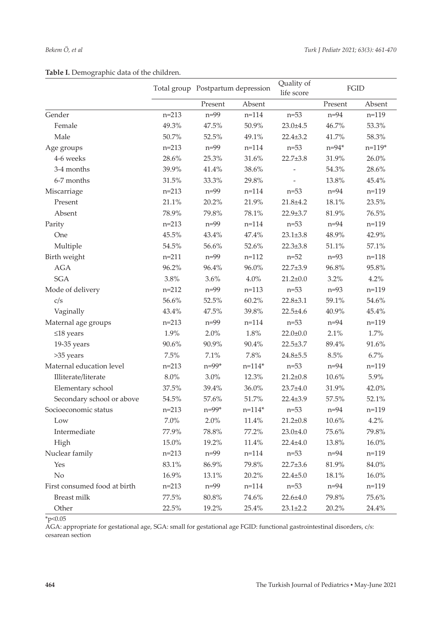|  | Table I. Demographic data of the children. |  |  |  |
|--|--------------------------------------------|--|--|--|
|--|--------------------------------------------|--|--|--|

|                              |           | Total group Postpartum depression |            | Quality of<br>life score | FGID      |           |
|------------------------------|-----------|-----------------------------------|------------|--------------------------|-----------|-----------|
|                              |           | Present                           | Absent     |                          | Present   | Absent    |
| Gender                       | $n = 213$ | $n = 99$                          | $n = 114$  | $n=53$                   | $n=94$    | $n=119$   |
| Female                       | 49.3%     | 47.5%                             | 50.9%      | $23.0 \pm 4.5$           | 46.7%     | 53.3%     |
| Male                         | 50.7%     | 52.5%                             | 49.1%      | $22.4 \pm 3.2$           | 41.7%     | 58.3%     |
| Age groups                   | $n = 213$ | $n=99$                            | $n = 114$  | $n=53$                   | $n = 94*$ | $n=119*$  |
| 4-6 weeks                    | 28.6%     | 25.3%                             | 31.6%      | $22.7 \pm 3.8$           | 31.9%     | 26.0%     |
| 3-4 months                   | 39.9%     | 41.4%                             | 38.6%      | $\overline{\phantom{m}}$ | 54.3%     | 28.6%     |
| 6-7 months                   | 31.5%     | 33.3%                             | 29.8%      |                          | 13.8%     | 45.4%     |
| Miscarriage                  | $n = 213$ | $n=99$                            | $n = 114$  | $n=53$                   | $n=94$    | $n=119$   |
| Present                      | 21.1%     | 20.2%                             | 21.9%      | $21.8 + 4.2$             | 18.1%     | 23.5%     |
| Absent                       | 78.9%     | 79.8%                             | 78.1%      | $22.9 \pm 3.7$           | 81.9%     | 76.5%     |
| Parity                       | $n = 213$ | $n=99$                            | $n = 114$  | $n=53$                   | $n=94$    | $n=119$   |
| One                          | 45.5%     | 43.4%                             | 47.4%      | $23.1 \pm 3.8$           | 48.9%     | 42.9%     |
| Multiple                     | 54.5%     | 56.6%                             | 52.6%      | $22.3 \pm 3.8$           | 51.1%     | 57.1%     |
| Birth weight                 | $n = 211$ | $n=99$                            | $n = 112$  | $n=52$                   | $n=93$    | $n = 118$ |
| AGA                          | 96.2%     | 96.4%                             | 96.0%      | $22.7 \pm 3.9$           | 96.8%     | 95.8%     |
| <b>SGA</b>                   | 3.8%      | 3.6%                              | 4.0%       | $21.2 \pm 0.0$           | 3.2%      | 4.2%      |
| Mode of delivery             | $n = 212$ | $n=99$                            | $n=113$    | $n=53$                   | $n=93$    | $n=119$   |
| c/s                          | 56.6%     | 52.5%                             | 60.2%      | $22.8 \pm 3.1$           | 59.1%     | 54.6%     |
| Vaginally                    | 43.4%     | 47.5%                             | 39.8%      | $22.5 + 4.6$             | 40.9%     | 45.4%     |
| Maternal age groups          | $n = 213$ | $n = 99$                          | $n = 114$  | $n=53$                   | $n=94$    | $n=119$   |
| $≤18$ years                  | 1.9%      | 2.0%                              | 1.8%       | $22.0 \pm 0.0$           | 2.1%      | 1.7%      |
| 19-35 years                  | 90.6%     | 90.9%                             | 90.4%      | $22.5 \pm 3.7$           | 89.4%     | 91.6%     |
| >35 years                    | 7.5%      | 7.1%                              | 7.8%       | $24.8 + 5.5$             | 8.5%      | 6.7%      |
| Maternal education level     | $n = 213$ | $n = 99*$                         | $n = 114*$ | $n=53$                   | $n=94$    | $n=119$   |
| Illiterate/literate          | 8.0%      | 3.0%                              | 12.3%      | $21.2 \pm 0.8$           | 10.6%     | 5.9%      |
| Elementary school            | 37.5%     | 39.4%                             | 36.0%      | $23.7 + 4.0$             | 31.9%     | 42.0%     |
| Secondary school or above    | 54.5%     | 57.6%                             | 51.7%      | $22.4 \pm 3.9$           | 57.5%     | 52.1%     |
| Socioeconomic status         | $n = 213$ | $n = 99*$                         | $n = 114*$ | $n=53$                   | $n=94$    | $n=119$   |
| Low                          | $7.0\%$   | 2.0%                              | 11.4%      | $21.2 \pm 0.8$           | 10.6%     | 4.2%      |
| Intermediate                 | 77.9%     | 78.8%                             | 77.2%      | $23.0 \pm 4.0$           | 75.6%     | 79.8%     |
| High                         | $15.0\%$  | 19.2%                             | 11.4%      | $22.4 + 4.0$             | 13.8%     | $16.0\%$  |
| Nuclear family               | $n = 213$ | $n=99$                            | $n = 114$  | $n=53$                   | $n=94$    | $n = 119$ |
| Yes                          | 83.1%     | 86.9%                             | 79.8%      | 22.7±3.6                 | 81.9%     | $84.0\%$  |
| $\rm No$                     | 16.9%     | 13.1%                             | 20.2%      | $22.4 \pm 5.0$           | 18.1%     | $16.0\%$  |
| First consumed food at birth | $n = 213$ | $n=99$                            | $n = 114$  | $n=53$                   | $n=94$    | $n=119$   |
| Breast milk                  | 77.5%     | $80.8\%$                          | 74.6%      | 22.6±4.0                 | 79.8%     | 75.6%     |
| Other                        | 22.5%     | 19.2%                             | 25.4%      | $23.1 \pm 2.2$           | 20.2%     | 24.4%     |

\*p<0.05

AGA: appropriate for gestational age, SGA: small for gestational age FGID: functional gastrointestinal disorders, c/s: cesarean section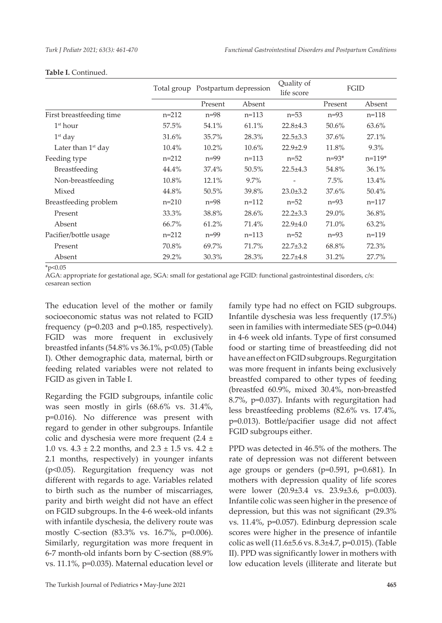|                          |         | Total group Postpartum depression |         | Quality of<br>life score | FGID    |            |
|--------------------------|---------|-----------------------------------|---------|--------------------------|---------|------------|
|                          |         | Present                           | Absent  |                          | Present | Absent     |
| First breastfeeding time | $n=212$ | $n=98$                            | $n=113$ | $n=53$                   | $n=93$  | $n=118$    |
| 1 <sup>st</sup> hour     | 57.5%   | 54.1%                             | 61.1%   | $22.8 \pm 4.3$           | 50.6%   | 63.6%      |
| $1st$ day                | 31.6%   | 35.7%                             | 28.3%   | $22.5 \pm 3.3$           | 37.6%   | 27.1%      |
| Later than $1st$ day     | 10.4%   | 10.2%                             | 10.6%   | $22.9 \pm 2.9$           | 11.8%   | $9.3\%$    |
| Feeding type             | $n=212$ | $n=99$                            | $n=113$ | $n = 52$                 | $n=93*$ | $n = 119*$ |
| Breastfeeding            | 44.4%   | 37.4%                             | 50.5%   | $22.5 + 4.3$             | 54.8%   | 36.1%      |
| Non-breastfeeding        | 10.8%   | 12.1%                             | $9.7\%$ |                          | 7.5%    | 13.4%      |
| Mixed                    | 44.8%   | $50.5\%$                          | 39.8%   | $23.0 \pm 3.2$           | 37.6%   | $50.4\%$   |
| Breastfeeding problem    | $n=210$ | $n=98$                            | $n=112$ | $n=52$                   | $n=93$  | $n = 117$  |
| Present                  | 33.3%   | 38.8%                             | 28.6%   | $22.2 \pm 3.3$           | 29.0%   | 36.8%      |
| Absent                   | 66.7%   | 61.2%                             | 71.4%   | $22.9 \pm 4.0$           | 71.0%   | 63.2%      |
| Pacifier/bottle usage    | $n=212$ | $n=99$                            | $n=113$ | $n=52$                   | $n=93$  | $n=119$    |
| Present                  | 70.8%   | 69.7%                             | 71.7%   | $22.7 \pm 3.2$           | 68.8%   | 72.3%      |
| Absent                   | 29.2%   | 30.3%                             | 28.3%   | $22.7 + 4.8$             | 31.2%   | 27.7%      |

#### **Table I.** Continued.

 $*_{p<0.05}$ 

AGA: appropriate for gestational age, SGA: small for gestational age FGID: functional gastrointestinal disorders, c/s: cesarean section

The education level of the mother or family socioeconomic status was not related to FGID frequency (p=0.203 and p=0.185, respectively). FGID was more frequent in exclusively breastfed infants (54.8% vs 36.1%, p<0.05) (Table I). Other demographic data, maternal, birth or feeding related variables were not related to FGID as given in Table I.

Regarding the FGID subgroups, infantile colic was seen mostly in girls (68.6% vs. 31.4%, p=0.016). No difference was present with regard to gender in other subgroups. Infantile colic and dyschesia were more frequent  $(2.4 \pm$ 1.0 vs.  $4.3 \pm 2.2$  months, and  $2.3 \pm 1.5$  vs.  $4.2 \pm$ 2.1 months, respectively) in younger infants (p<0.05). Regurgitation frequency was not different with regards to age. Variables related to birth such as the number of miscarriages, parity and birth weight did not have an effect on FGID subgroups. In the 4-6 week-old infants with infantile dyschesia, the delivery route was mostly C-section (83.3% vs. 16.7%, p=0.006). Similarly, regurgitation was more frequent in 6-7 month-old infants born by C-section (88.9% vs. 11.1%, p=0.035). Maternal education level or

The Turkish Journal of Pediatrics ▪ May-June 2021 **465**

family type had no effect on FGID subgroups. Infantile dyschesia was less frequently (17.5%) seen in families with intermediate SES (p=0.044) in 4-6 week old infants. Type of first consumed food or starting time of breastfeeding did not have an effect on FGID subgroups. Regurgitation was more frequent in infants being exclusively breastfed compared to other types of feeding (breastfed 60.9%, mixed 30.4%, non-breastfed 8.7%, p=0.037). Infants with regurgitation had less breastfeeding problems (82.6% vs. 17.4%, p=0.013). Bottle/pacifier usage did not affect FGID subgroups either.

PPD was detected in 46.5% of the mothers. The rate of depression was not different between age groups or genders (p=0.591, p=0.681). In mothers with depression quality of life scores were lower (20.9±3.4 vs. 23.9±3.6, p=0.003). Infantile colic was seen higher in the presence of depression, but this was not significant (29.3% vs. 11.4%, p=0.057). Edinburg depression scale scores were higher in the presence of infantile colic as well (11.6±5.6 vs. 8.3±4.7, p=0.015). (Table II). PPD was significantly lower in mothers with low education levels (illiterate and literate but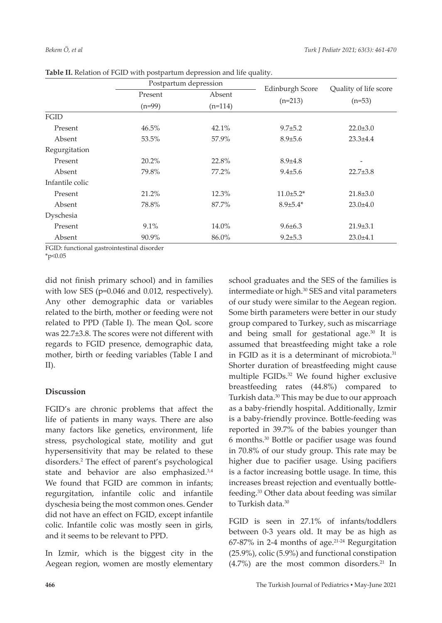|                 | Postpartum depression |           |                        |                                   |  |
|-----------------|-----------------------|-----------|------------------------|-----------------------------------|--|
|                 | Present               | Absent    | <b>Edinburgh Score</b> | Quality of life score<br>$(n=53)$ |  |
|                 | $(n=99)$              | $(n=114)$ | $(n=213)$              |                                   |  |
| FGID            |                       |           |                        |                                   |  |
| Present         | 46.5%                 | 42.1%     | $9.7 \pm 5.2$          | $22.0 \pm 3.0$                    |  |
| Absent          | 53.5%                 | 57.9%     | $8.9 \pm 5.6$          | $23.3 \pm 4.4$                    |  |
| Regurgitation   |                       |           |                        |                                   |  |
| Present         | 20.2%                 | 22.8%     | $8.9 \pm 4.8$          |                                   |  |
| Absent          | 79.8%                 | 77.2%     | $9.4 \pm 5.6$          | $22.7 \pm 3.8$                    |  |
| Infantile colic |                       |           |                        |                                   |  |
| Present         | 21.2%                 | 12.3%     | $11.0 \pm 5.2^*$       | $21.8 \pm 3.0$                    |  |
| Absent          | 78.8%                 | 87.7%     | $8.9{\pm}5.4*$         | $23.0 \pm 4.0$                    |  |
| Dyschesia       |                       |           |                        |                                   |  |
| Present         | 9.1%                  | 14.0%     | $9.6 \pm 6.3$          | $21.9 \pm 3.1$                    |  |
| Absent          | 90.9%                 | 86.0%     | $9.2 \pm 5.3$          | $23.0 \pm 4.1$                    |  |

FGID: functional gastrointestinal disorder

 $*_{p<0.05}$ 

did not finish primary school) and in families with low SES (p=0.046 and 0.012, respectively). Any other demographic data or variables related to the birth, mother or feeding were not related to PPD (Table I). The mean QoL score was 22.7±3.8. The scores were not different with regards to FGID presence, demographic data, mother, birth or feeding variables (Table I and II).

# **Discussion**

FGID's are chronic problems that affect the life of patients in many ways. There are also many factors like genetics, environment, life stress, psychological state, motility and gut hypersensitivity that may be related to these disorders.<sup>2</sup> The effect of parent's psychological state and behavior are also emphasized.<sup>3,4</sup> We found that FGID are common in infants; regurgitation, infantile colic and infantile dyschesia being the most common ones. Gender did not have an effect on FGID, except infantile colic. Infantile colic was mostly seen in girls, and it seems to be relevant to PPD.

In Izmir, which is the biggest city in the Aegean region, women are mostly elementary

school graduates and the SES of the families is intermediate or high.<sup>30</sup> SES and vital parameters of our study were similar to the Aegean region. Some birth parameters were better in our study group compared to Turkey, such as miscarriage and being small for gestational age.30 It is assumed that breastfeeding might take a role in FGID as it is a determinant of microbiota.<sup>31</sup> Shorter duration of breastfeeding might cause multiple FGIDs.<sup>32</sup> We found higher exclusive breastfeeding rates (44.8%) compared to Turkish data.<sup>30</sup> This may be due to our approach as a baby-friendly hospital. Additionally, Izmir is a baby-friendly province. Bottle-feeding was reported in 39.7% of the babies younger than 6 months.<sup>30</sup> Bottle or pacifier usage was found in 70.8% of our study group. This rate may be higher due to pacifier usage. Using pacifiers is a factor increasing bottle usage. In time, this increases breast rejection and eventually bottlefeeding.33 Other data about feeding was similar to Turkish data.<sup>30</sup>

FGID is seen in 27.1% of infants/toddlers between 0-3 years old. It may be as high as  $67-87\%$  in 2-4 months of age.<sup>21-24</sup> Regurgitation (25.9%), colic (5.9%) and functional constipation  $(4.7\%)$  are the most common disorders.<sup>21</sup> In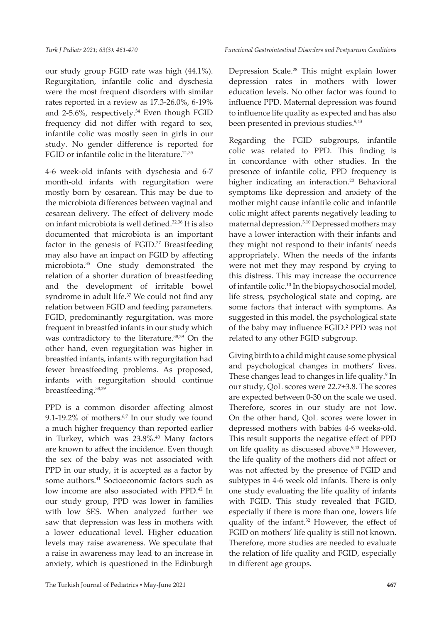our study group FGID rate was high (44.1%). Regurgitation, infantile colic and dyschesia were the most frequent disorders with similar rates reported in a review as 17.3-26.0%, 6-19% and 2-5.6%, respectively.<sup>34</sup> Even though FGID frequency did not differ with regard to sex, infantile colic was mostly seen in girls in our study. No gender difference is reported for FGID or infantile colic in the literature. $21,35$ 

4-6 week-old infants with dyschesia and 6-7 month-old infants with regurgitation were mostly born by cesarean. This may be due to the microbiota differences between vaginal and cesarean delivery. The effect of delivery mode on infant microbiota is well defined.32,36 It is also documented that microbiota is an important factor in the genesis of FGID.<sup>37</sup> Breastfeeding may also have an impact on FGID by affecting microbiota.35 One study demonstrated the relation of a shorter duration of breastfeeding and the development of irritable bowel syndrome in adult life.<sup>37</sup> We could not find any relation between FGID and feeding parameters. FGID, predominantly regurgitation, was more frequent in breastfed infants in our study which was contradictory to the literature.<sup>38,39</sup> On the other hand, even regurgitation was higher in breastfed infants, infants with regurgitation had fewer breastfeeding problems. As proposed, infants with regurgitation should continue breastfeeding.38,39

PPD is a common disorder affecting almost 9.1-19.2% of mothers. $67$  In our study we found a much higher frequency than reported earlier in Turkey, which was 23.8%.<sup>40</sup> Many factors are known to affect the incidence. Even though the sex of the baby was not associated with PPD in our study, it is accepted as a factor by some authors.<sup>41</sup> Socioeconomic factors such as low income are also associated with PPD.42 In our study group, PPD was lower in families with low SES. When analyzed further we saw that depression was less in mothers with a lower educational level. Higher education levels may raise awareness. We speculate that a raise in awareness may lead to an increase in anxiety, which is questioned in the Edinburgh Depression Scale.28 This might explain lower depression rates in mothers with lower education levels. No other factor was found to influence PPD. Maternal depression was found to influence life quality as expected and has also been presented in previous studies.<sup>9,43</sup>

Regarding the FGID subgroups, infantile colic was related to PPD. This finding is in concordance with other studies. In the presence of infantile colic, PPD frequency is higher indicating an interaction.<sup>20</sup> Behavioral symptoms like depression and anxiety of the mother might cause infantile colic and infantile colic might affect parents negatively leading to maternal depression.3,10 Depressed mothers may have a lower interaction with their infants and they might not respond to their infants' needs appropriately. When the needs of the infants were not met they may respond by crying to this distress. This may increase the occurrence of infantile colic.10 In the biopsychosocial model, life stress, psychological state and coping, are some factors that interact with symptoms. As suggested in this model, the psychological state of the baby may influence FGID.<sup>2</sup> PPD was not related to any other FGID subgroup.

Giving birth to a child might cause some physical and psychological changes in mothers' lives. These changes lead to changes in life quality.<sup>9</sup> In our study, QoL scores were 22.7±3.8. The scores are expected between 0-30 on the scale we used. Therefore, scores in our study are not low. On the other hand, QoL scores were lower in depressed mothers with babies 4-6 weeks-old. This result supports the negative effect of PPD on life quality as discussed above.<sup>9,43</sup> However, the life quality of the mothers did not affect or was not affected by the presence of FGID and subtypes in 4-6 week old infants. There is only one study evaluating the life quality of infants with FGID. This study revealed that FGID, especially if there is more than one, lowers life quality of the infant.<sup>32</sup> However, the effect of FGID on mothers' life quality is still not known. Therefore, more studies are needed to evaluate the relation of life quality and FGID, especially in different age groups.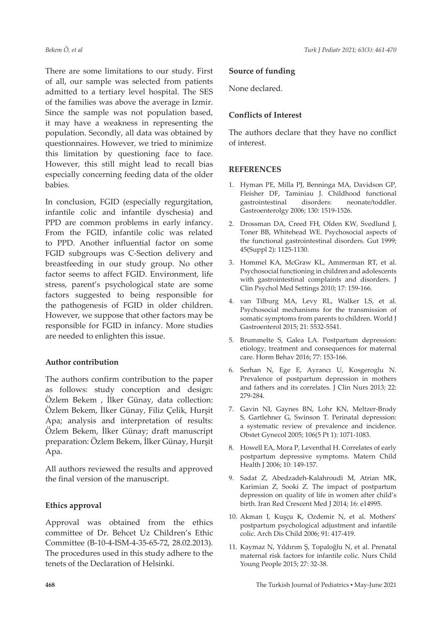There are some limitations to our study. First of all, our sample was selected from patients admitted to a tertiary level hospital. The SES of the families was above the average in Izmir. Since the sample was not population based, it may have a weakness in representing the population. Secondly, all data was obtained by questionnaires. However, we tried to minimize this limitation by questioning face to face. However, this still might lead to recall bias especially concerning feeding data of the older babies.

In conclusion, FGID (especially regurgitation, infantile colic and infantile dyschesia) and PPD are common problems in early infancy. From the FGID, infantile colic was related to PPD. Another influential factor on some FGID subgroups was C-Section delivery and breastfeeding in our study group. No other factor seems to affect FGID. Environment, life stress, parent's psychological state are some factors suggested to being responsible for the pathogenesis of FGID in older children. However, we suppose that other factors may be responsible for FGID in infancy. More studies are needed to enlighten this issue.

# **Author contribution**

The authors confirm contribution to the paper as follows: study conception and design: Özlem Bekem , İlker Günay, data collection: Özlem Bekem, İlker Günay, Filiz Çelik, Hurşit Apa; analysis and interpretation of results: Özlem Bekem, İlker Günay; draft manuscript preparation: Özlem Bekem, İlker Günay, Hurşit Apa.

All authors reviewed the results and approved the final version of the manuscript.

# **Ethics approval**

Approval was obtained from the ethics committee of Dr. Behcet Uz Children's Ethic Committee (B-10-4-ISM-4-35-65-72, 28.02.2013). The procedures used in this study adhere to the tenets of the Declaration of Helsinki.

#### **Source of funding**

None declared.

## **Conflicts of Interest**

The authors declare that they have no conflict of interest.

#### **REFERENCES**

- 1. Hyman PE, Milla PJ, Benninga MA, Davidson GP, Fleisher DF, Taminiau J. Childhood functional gastrointestinal disorders: neonate/toddler. Gastroenterolgy 2006; 130: 1519-1526.
- 2. Drossman DA, Creed FH, Olden KW, Svedlund J, Toner BB, Whitehead WE. Psychosocial aspects of the functional gastrointestinal disorders. Gut 1999; 45(Suppl 2): 1125-1130.
- 3. Hommel KA, McGraw KL, Ammerman RT, et al. Psychosocial functioning in children and adolescents with gastrointestinal complaints and disorders. J Clin Psychol Med Settings 2010; 17: 159-166.
- 4. van Tilburg MA, Levy RL, Walker LS, et al. Psychosocial mechanisms for the transmission of somatic symptoms from parents to children. World J Gastroenterol 2015; 21: 5532-5541.
- 5. Brummelte S, Galea LA. Postpartum depression: etiology, treatment and consequences for maternal care. Horm Behav 2016; 77: 153-166.
- 6. Serhan N, Ege E, Ayrancı U, Kosgeroglu N. Prevalence of postpartum depression in mothers and fathers and its correlates. J Clin Nurs 2013; 22: 279-284.
- 7. Gavin NI, Gaynes BN, Lohr KN, Meltzer-Brody S, Gartlehner G, Swinson T. Perinatal depression: a systematic review of prevalence and incidence. Obstet Gynecol 2005; 106(5 Pt 1): 1071-1083.
- 8. Howell EA, Mora P, Leventhal H. Correlates of early postpartum depressive symptoms. Matern Child Health J 2006; 10: 149-157.
- 9. Sadat Z, Abedzadeh-Kalahroudi M, Atrian MK, Karimian Z, Sooki Z. The impact of postpartum depression on quality of life in women after child's birth. Iran Red Crescent Med J 2014; 16: e14995.
- 10. Akman I, Kuşçu K, Ozdemir N, et al. Mothers' postpartum psychological adjustment and infantile colic. Arch Dis Child 2006; 91: 417-419.
- 11. Kaymaz N, Yıldırım Ş, Topaloğlu N, et al. Prenatal maternal risk factors for infantile colic. Nurs Child Young People 2015; 27: 32-38.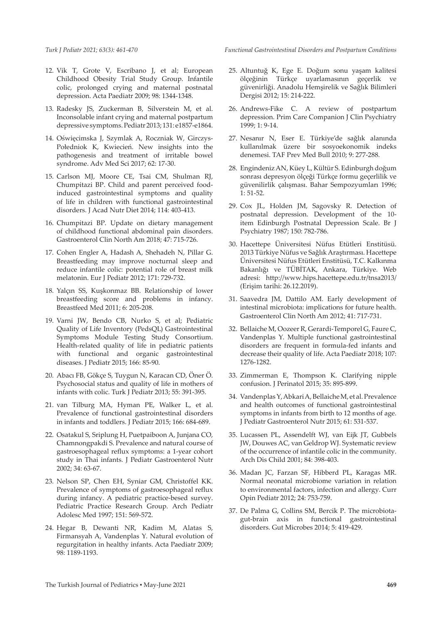- 12. Vik T, Grote V, Escribano J, et al; European Childhood Obesity Trial Study Group. Infantile colic, prolonged crying and maternal postnatal depression. Acta Paediatr 2009; 98: 1344-1348.
- 13. Radesky JS, Zuckerman B, Silverstein M, et al. Inconsolable infant crying and maternal postpartum depressive symptoms. Pediatr 2013; 131: e1857-e1864.
- 14. Oświęcimska J, Szymlak A, Roczniak W, Girczys-Połedniok K, Kwiecień. New insights into the pathogenesis and treatment of irritable bowel syndrome. Adv Med Sci 2017; 62: 17-30.
- 15. Carlson MJ, Moore CE, Tsai CM, Shulman RJ, Chumpitazi BP. Child and parent perceived foodinduced gastrointestinal symptoms and quality of life in children with functional gastrointestinal disorders. J Acad Nutr Diet 2014; 114: 403-413.
- 16. Chumpitazi BP. Update on dietary management of childhood functional abdominal pain disorders. Gastroenterol Clin North Am 2018; 47: 715-726.
- 17. Cohen Engler A, Hadash A, Shehadeh N, Pillar G. Breastfeeding may improve nocturnal sleep and reduce infantile colic: potential role of breast milk melatonin. Eur J Pediatr 2012; 171: 729-732.
- 18. Yalçın SS, Kuşkonmaz BB. Relationship of lower breastfeeding score and problems in infancy. Breastfeed Med 2011; 6: 205-208.
- 19. Varni JW, Bendo CB, Nurko S, et al; Pediatric Quality of Life Inventory (PedsQL) Gastrointestinal Symptoms Module Testing Study Consortium. Health-related quality of life in pediatric patients with functional and organic gastrointestinal diseases. J Pediatr 2015; 166: 85-90.
- 20. Abacı FB, Gökçe S, Tuygun N, Karacan CD, Öner Ö. Psychosocial status and quality of life in mothers of infants with colic. Turk J Pediatr 2013; 55: 391-395.
- 21. van Tilburg MA, Hyman PE, Walker L, et al. Prevalence of functional gastrointestinal disorders in infants and toddlers. J Pediatr 2015; 166: 684-689.
- 22. Osatakul S, Sriplung H, Puetpaiboon A, Junjana CO, Chamnongpakdi S. Prevalence and natural course of gastroesophageal reflux symptoms: a 1-year cohort study in Thai infants. J Pediatr Gastroenterol Nutr 2002; 34: 63-67.
- 23. Nelson SP, Chen EH, Syniar GM, Christoffel KK. Prevalence of symptoms of gastroesophageal reflux during infancy. A pediatric practice-besed survey. Pediatric Practice Research Group. Arch Pediatr Adolesc Med 1997; 151: 569-572.
- 24. Hegar B, Dewanti NR, Kadim M, Alatas S, Firmansyah A, Vandenplas Y. Natural evolution of regurgitation in healthy infants. Acta Paediatr 2009; 98: 1189-1193.

*Functional Gastrointestinal Disorders and Postpartum Conditions*

- 25. Altuntuğ K, Ege E. Doğum sonu yaşam kalitesi ölçeğinin Türkçe uyarlamasının geçerlik ve güvenirliği. Anadolu Hemşirelik ve Sağlık Bilimleri Dergisi 2012; 15: 214-222.
- 26. Andrews-Fike C. A review of postpartum depression. Prim Care Companion J Clin Psychiatry 1999; 1: 9-14.
- 27. Nesanır N, Eser E. Türkiye'de sağlık alanında kullanılmak üzere bir sosyoekonomik indeks denemesi. TAF Prev Med Bull 2010; 9: 277-288.
- 28. Engindeniz AN, Küey L, Kültür S. Edinburgh doğum sonrası depresyon ölçeği Türkçe formu geçerlilik ve güvenilirlik çalışması. Bahar Sempozyumları 1996; 1: 51-52.
- 29. Cox JL, Holden JM, Sagovsky R. Detection of postnatal depression. Development of the 10 item Edinburgh Postnatal Depression Scale. Br J Psychiatry 1987; 150: 782-786.
- 30. Hacettepe Üniversitesi Nüfus Etütleri Enstitüsü. 2013 Türkiye Nüfus ve Sağlık Araştırması. Hacettepe Üniversitesi Nüfus Etütleri Enstitüsü, T.C. Kalkınma Bakanlığı ve TÜBİTAK, Ankara, Türkiye. Web adresi: http://www.hips.hacettepe.edu.tr/tnsa2013/ (Erişim tarihi: 26.12.2019).
- 31. Saavedra JM, Dattilo AM. Early development of intestinal microbiota: implications for future health. Gastroenterol Clin North Am 2012; 41: 717-731.
- 32. Bellaiche M, Oozeer R, Gerardi-Temporel G, Faure C, Vandenplas Y. Multiple functional gastrointestinal disorders are frequent in formula-fed infants and decrease their quality of life. Acta Paediatr 2018; 107: 1276-1282.
- 33. Zimmerman E, Thompson K. Clarifying nipple confusion. J Perinatol 2015; 35: 895-899.
- 34. Vandenplas Y, Abkari A, Bellaiche M, et al. Prevalence and health outcomes of functional gastrointestinal symptoms in infants from birth to 12 months of age. J Pediatr Gastroenterol Nutr 2015; 61: 531-537.
- 35. Lucassen PL, Assendelft WJ, van Eijk JT, Gubbels JW, Douwes AC, van Geldrop WJ. Systematic review of the occurrence of infantile colic in the community. Arch Dis Child 2001; 84: 398-403.
- 36. Madan JC, Farzan SF, Hibberd PL, Karagas MR. Normal neonatal microbiome variation in relation to environmental factors, infection and allergy. Curr Opin Pediatr 2012; 24: 753-759.
- 37. De Palma G, Collins SM, Bercik P. The microbiotagut-brain axis in functional gastrointestinal disorders. Gut Microbes 2014; 5: 419-429.